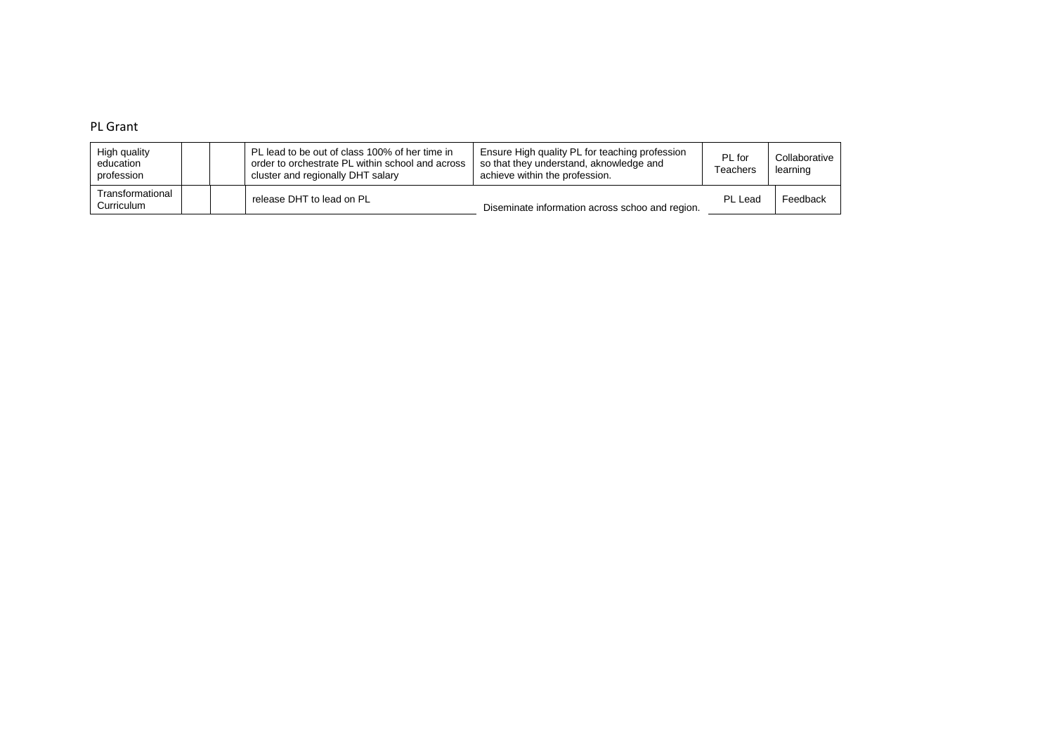## PL Grant

| High quality<br>education<br>profession |  | PL lead to be out of class 100% of her time in<br>order to orchestrate PL within school and across<br>cluster and regionally DHT salary | Ensure High quality PL for teaching profession<br>so that they understand, aknowledge and<br>achieve within the profession. | PL for<br>Teachers | Collaborative<br>learning |
|-----------------------------------------|--|-----------------------------------------------------------------------------------------------------------------------------------------|-----------------------------------------------------------------------------------------------------------------------------|--------------------|---------------------------|
| Transformational<br>Curriculum          |  | release DHT to lead on PL                                                                                                               | Diseminate information across schoo and region.                                                                             | PL Lead            | Feedback                  |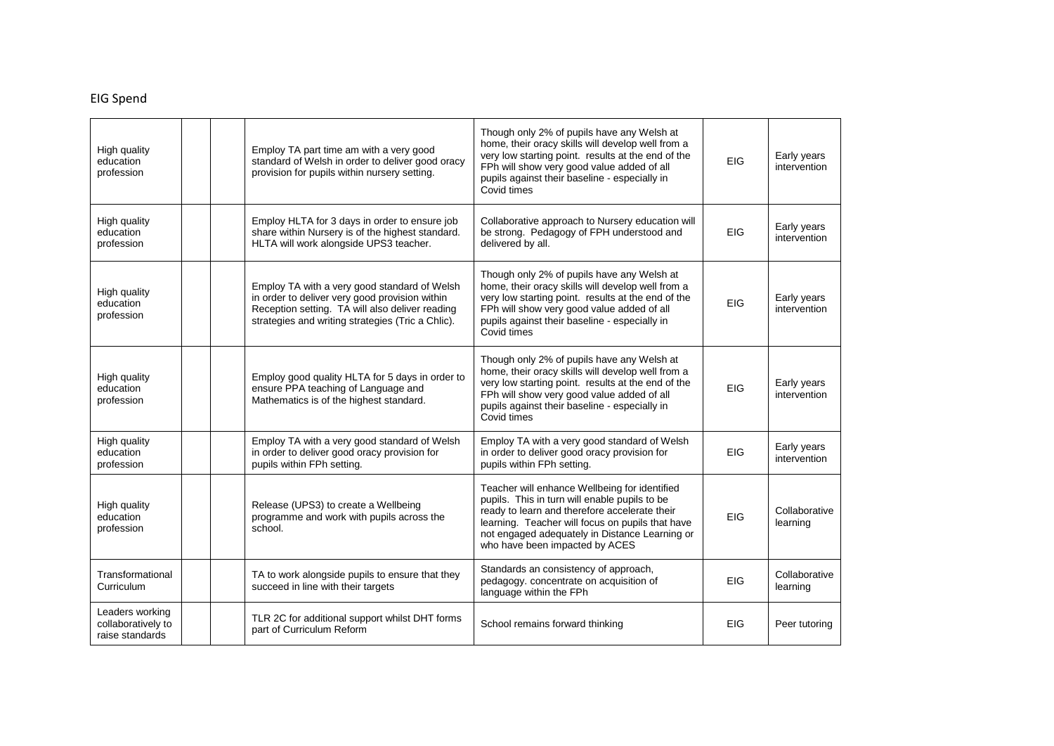# EIG Spend

| High guality<br>education<br>profession                  |  | Employ TA part time am with a very good<br>standard of Welsh in order to deliver good oracy<br>provision for pupils within nursery setting.                                                            | Though only 2% of pupils have any Welsh at<br>home, their oracy skills will develop well from a<br>very low starting point. results at the end of the<br>FPh will show very good value added of all<br>pupils against their baseline - especially in<br>Covid times                     | EIG        | Early years<br>intervention |
|----------------------------------------------------------|--|--------------------------------------------------------------------------------------------------------------------------------------------------------------------------------------------------------|-----------------------------------------------------------------------------------------------------------------------------------------------------------------------------------------------------------------------------------------------------------------------------------------|------------|-----------------------------|
| High quality<br>education<br>profession                  |  | Employ HLTA for 3 days in order to ensure job<br>share within Nursery is of the highest standard.<br>HLTA will work alongside UPS3 teacher.                                                            | Collaborative approach to Nursery education will<br>be strong. Pedagogy of FPH understood and<br>delivered by all.                                                                                                                                                                      | <b>EIG</b> | Early years<br>intervention |
| High quality<br>education<br>profession                  |  | Employ TA with a very good standard of Welsh<br>in order to deliver very good provision within<br>Reception setting. TA will also deliver reading<br>strategies and writing strategies (Tric a Chlic). | Though only 2% of pupils have any Welsh at<br>home, their oracy skills will develop well from a<br>very low starting point. results at the end of the<br>FPh will show very good value added of all<br>pupils against their baseline - especially in<br>Covid times                     | <b>EIG</b> | Early years<br>intervention |
| High quality<br>education<br>profession                  |  | Employ good quality HLTA for 5 days in order to<br>ensure PPA teaching of Language and<br>Mathematics is of the highest standard.                                                                      | Though only 2% of pupils have any Welsh at<br>home, their oracy skills will develop well from a<br>very low starting point. results at the end of the<br>FPh will show very good value added of all<br>pupils against their baseline - especially in<br>Covid times                     | EIG        | Early years<br>intervention |
| High quality<br>education<br>profession                  |  | Employ TA with a very good standard of Welsh<br>in order to deliver good oracy provision for<br>pupils within FPh setting.                                                                             | Employ TA with a very good standard of Welsh<br>in order to deliver good oracy provision for<br>pupils within FPh setting.                                                                                                                                                              | EIG        | Early years<br>intervention |
| High quality<br>education<br>profession                  |  | Release (UPS3) to create a Wellbeing<br>programme and work with pupils across the<br>school.                                                                                                           | Teacher will enhance Wellbeing for identified<br>pupils. This in turn will enable pupils to be<br>ready to learn and therefore accelerate their<br>learning. Teacher will focus on pupils that have<br>not engaged adequately in Distance Learning or<br>who have been impacted by ACES | EIG        | Collaborative<br>learning   |
| Transformational<br>Curriculum                           |  | TA to work alongside pupils to ensure that they<br>succeed in line with their targets                                                                                                                  | Standards an consistency of approach,<br>pedagogy. concentrate on acquisition of<br>language within the FPh                                                                                                                                                                             | <b>EIG</b> | Collaborative<br>learning   |
| Leaders working<br>collaboratively to<br>raise standards |  | TLR 2C for additional support whilst DHT forms<br>part of Curriculum Reform                                                                                                                            | School remains forward thinking                                                                                                                                                                                                                                                         | <b>EIG</b> | Peer tutoring               |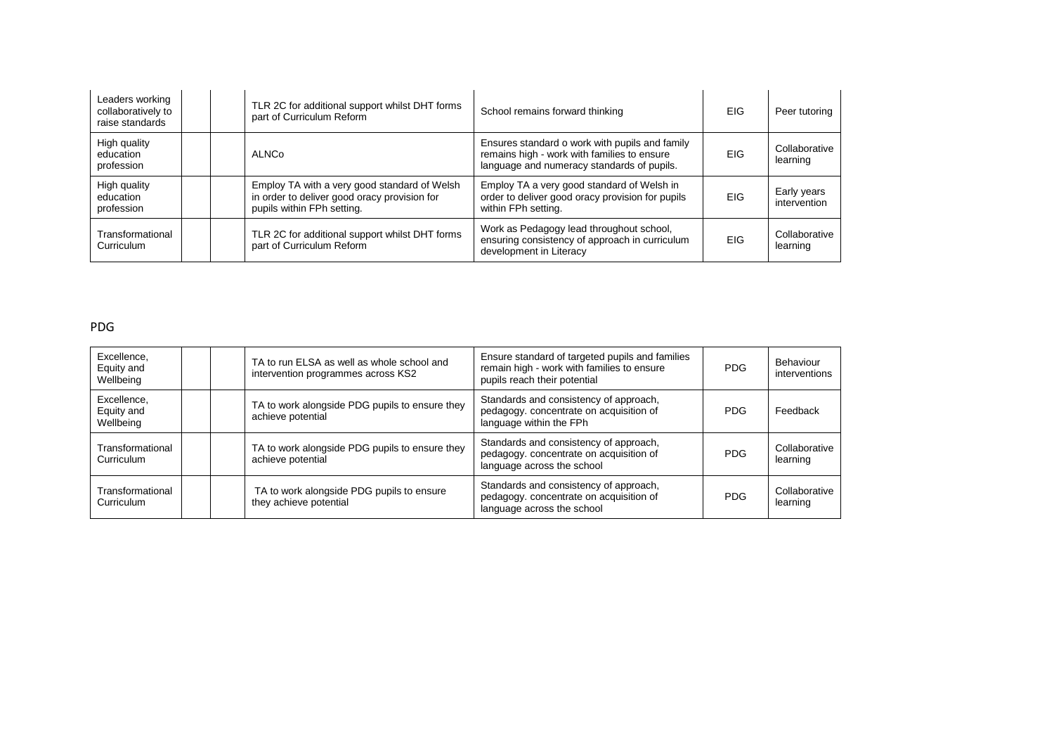| Leaders working<br>collaboratively to<br>raise standards |  | TLR 2C for additional support whilst DHT forms<br>part of Curriculum Reform                                                | School remains forward thinking                                                                                                             | <b>EIG</b> | Peer tutoring               |
|----------------------------------------------------------|--|----------------------------------------------------------------------------------------------------------------------------|---------------------------------------------------------------------------------------------------------------------------------------------|------------|-----------------------------|
| High quality<br>education<br>profession                  |  | ALNCo                                                                                                                      | Ensures standard o work with pupils and family<br>remains high - work with families to ensure<br>language and numeracy standards of pupils. | <b>EIG</b> | Collaborative<br>learning   |
| High quality<br>education<br>profession                  |  | Employ TA with a very good standard of Welsh<br>in order to deliver good oracy provision for<br>pupils within FPh setting. | Employ TA a very good standard of Welsh in<br>order to deliver good oracy provision for pupils<br>within FPh setting.                       | <b>EIG</b> | Early years<br>intervention |
| Transformational<br>Curriculum                           |  | TLR 2C for additional support whilst DHT forms<br>part of Curriculum Reform                                                | Work as Pedagogy lead throughout school,<br>ensuring consistency of approach in curriculum<br>development in Literacy                       | <b>EIG</b> | Collaborative<br>learning   |

#### PDG

| Excellence,<br>Equity and<br>Wellbeing |  | TA to run ELSA as well as whole school and<br>intervention programmes across KS2 | Ensure standard of targeted pupils and families<br>remain high - work with families to ensure<br>pupils reach their potential | <b>PDG</b> | Behaviour<br>interventions |
|----------------------------------------|--|----------------------------------------------------------------------------------|-------------------------------------------------------------------------------------------------------------------------------|------------|----------------------------|
| Excellence,<br>Equity and<br>Wellbeing |  | TA to work alongside PDG pupils to ensure they<br>achieve potential              | Standards and consistency of approach,<br>pedagogy. concentrate on acquisition of<br>language within the FPh                  | <b>PDG</b> | Feedback                   |
| Transformational<br>Curriculum         |  | TA to work alongside PDG pupils to ensure they<br>achieve potential              | Standards and consistency of approach,<br>pedagogy, concentrate on acquisition of<br>language across the school               | <b>PDG</b> | Collaborative<br>learning  |
| Transformational<br>Curriculum         |  | TA to work alongside PDG pupils to ensure<br>they achieve potential              | Standards and consistency of approach,<br>pedagogy, concentrate on acquisition of<br>language across the school               | PDG        | Collaborative<br>learning  |